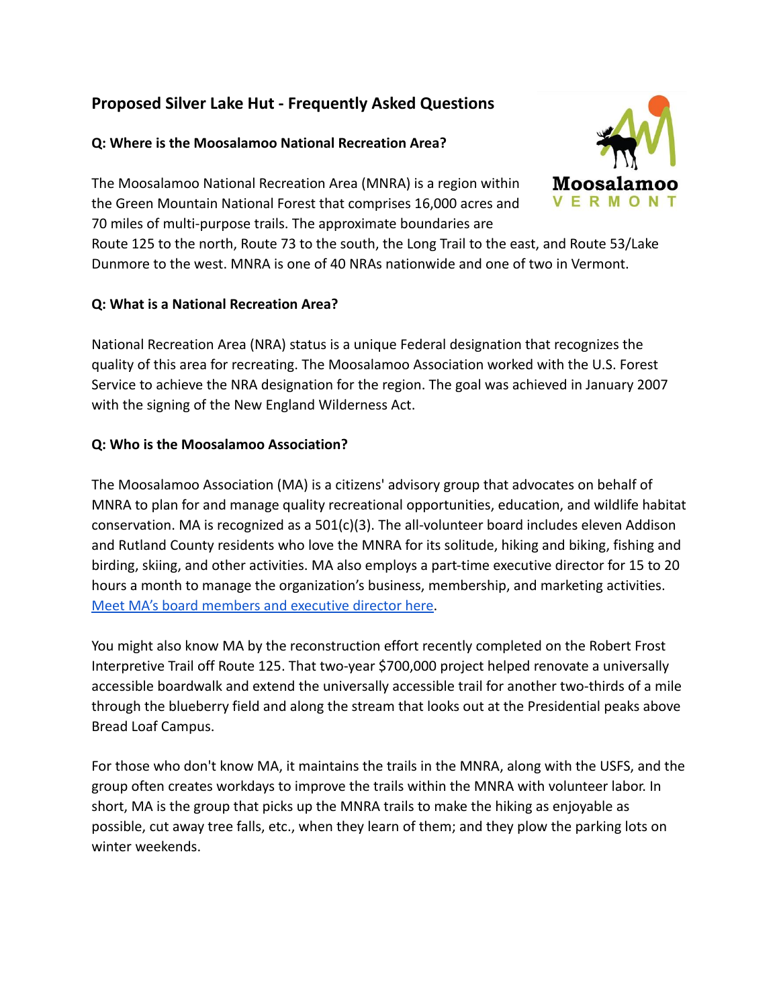# **Proposed Silver Lake Hut - Frequently Asked Questions**

# **Q: Where is the Moosalamoo National Recreation Area?**

The Moosalamoo National Recreation Area (MNRA) is a region within the Green Mountain National Forest that comprises 16,000 acres and 70 miles of multi-purpose trails. The approximate boundaries are

Route 125 to the north, Route 73 to the south, the Long Trail to the east, and Route 53/Lake Dunmore to the west. MNRA is one of 40 NRAs nationwide and one of two in Vermont.

### **Q: What is a National Recreation Area?**

National Recreation Area (NRA) status is a unique Federal designation that recognizes the quality of this area for recreating. The Moosalamoo Association worked with the U.S. Forest Service to achieve the NRA designation for the region. The goal was achieved in January 2007 with the signing of the New England Wilderness Act.

# **Q: Who is the Moosalamoo Association?**

The Moosalamoo Association (MA) is a citizens' advisory group that advocates on behalf of MNRA to plan for and manage quality recreational opportunities, education, and wildlife habitat conservation. MA is recognized as a  $501(c)(3)$ . The all-volunteer board includes eleven Addison and Rutland County residents who love the MNRA for its solitude, hiking and biking, fishing and birding, skiing, and other activities. MA also employs a part-time executive director for 15 to 20 hours a month to manage the organization's business, membership, and marketing activities. [Meet MA's board members and executive director here.](https://moosalamoo.org/team)

You might also know MA by the reconstruction effort recently completed on the Robert Frost Interpretive Trail off Route 125. That two-year \$700,000 project helped renovate a universally accessible boardwalk and extend the universally accessible trail for another two-thirds of a mile through the blueberry field and along the stream that looks out at the Presidential peaks above Bread Loaf Campus.

For those who don't know MA, it maintains the trails in the MNRA, along with the USFS, and the group often creates workdays to improve the trails within the MNRA with volunteer labor. In short, MA is the group that picks up the MNRA trails to make the hiking as enjoyable as possible, cut away tree falls, etc., when they learn of them; and they plow the parking lots on winter weekends.

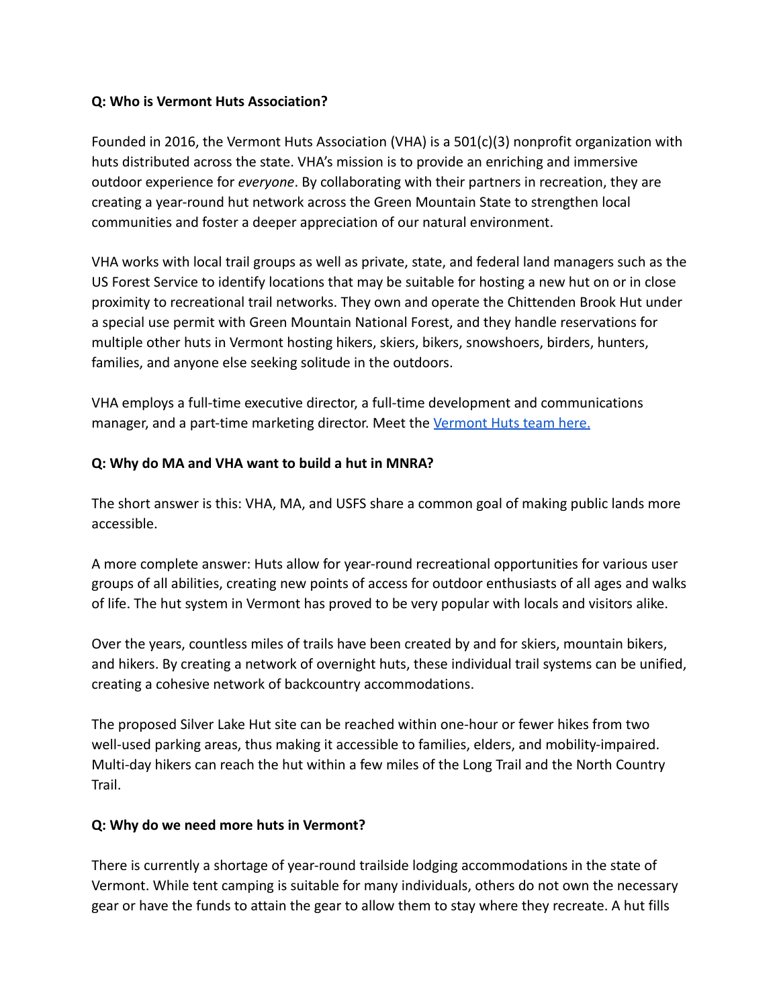#### **Q: Who is Vermont Huts Association?**

Founded in 2016, the Vermont Huts Association (VHA) is a  $501(c)(3)$  nonprofit organization with huts distributed across the state. VHA's mission is to provide an enriching and immersive outdoor experience for *everyone*. By collaborating with their partners in recreation, they are creating a year-round hut network across the Green Mountain State to strengthen local communities and foster a deeper appreciation of our natural environment.

VHA works with local trail groups as well as private, state, and federal land managers such as the US Forest Service to identify locations that may be suitable for hosting a new hut on or in close proximity to recreational trail networks. They own and operate the Chittenden Brook Hut under a special use permit with Green Mountain National Forest, and they handle reservations for multiple other huts in Vermont hosting hikers, skiers, bikers, snowshoers, birders, hunters, families, and anyone else seeking solitude in the outdoors.

VHA employs a full-time executive director, a full-time development and communications manager, and a part-time marketing director. Meet the [Vermont Huts team here.](https://vermonthuts.org/about/)

#### **Q: Why do MA and VHA want to build a hut in MNRA?**

The short answer is this: VHA, MA, and USFS share a common goal of making public lands more accessible.

A more complete answer: Huts allow for year-round recreational opportunities for various user groups of all abilities, creating new points of access for outdoor enthusiasts of all ages and walks of life. The hut system in Vermont has proved to be very popular with locals and visitors alike.

Over the years, countless miles of trails have been created by and for skiers, mountain bikers, and hikers. By creating a network of overnight huts, these individual trail systems can be unified, creating a cohesive network of backcountry accommodations.

The proposed Silver Lake Hut site can be reached within one-hour or fewer hikes from two well-used parking areas, thus making it accessible to families, elders, and mobility-impaired. Multi-day hikers can reach the hut within a few miles of the Long Trail and the North Country Trail.

#### **Q: Why do we need more huts in Vermont?**

There is currently a shortage of year-round trailside lodging accommodations in the state of Vermont. While tent camping is suitable for many individuals, others do not own the necessary gear or have the funds to attain the gear to allow them to stay where they recreate. A hut fills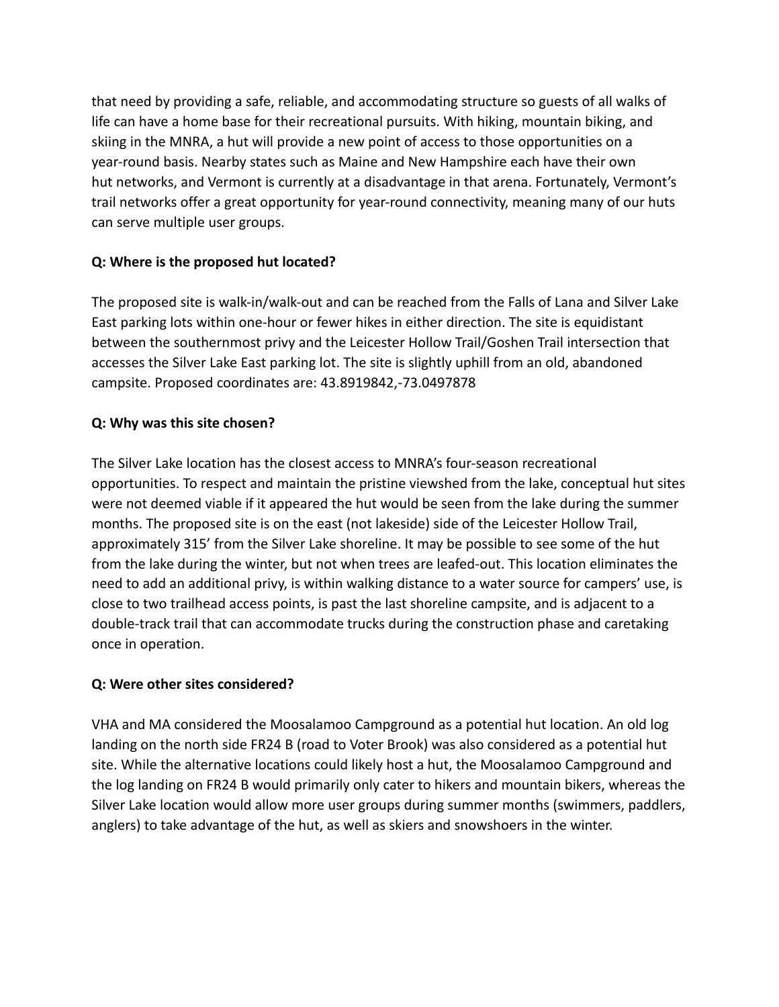that need by providing a safe, reliable, and accommodating structure so guests of all walks of life can have a home base for their recreational pursuits. With hiking, mountain biking, and skiing in the MNRA, a hut will provide a new point of access to those opportunities on a year-round basis. Nearby states such as Maine and New Hampshire each have their own hut networks, and Vermont is currently at a disadvantage in that arena. Fortunately, Vermont's trail networks offer a great opportunity for year-round connectivity, meaning many of our huts can serve multiple user groups.

# **Q: Where is the proposed hut located?**

The proposed site is walk-in/walk-out and can be reached from the Falls of Lana and Silver Lake East parking lots within one-hour or fewer hikes in either direction. The site is equidistant between the southernmost privy and the Leicester Hollow Trail/Goshen Trail intersection that accesses the Silver Lake East parking lot. The site is slightly uphill from an old, abandoned campsite. Proposed coordinates are: 43.8919842,-73.0497878

### **Q: Why was this site chosen?**

The Silver Lake location has the closest access to MNRA's four-season recreational opportunities. To respect and maintain the pristine viewshed from the lake, conceptual hut sites were not deemed viable if it appeared the hut would be seen from the lake during the summer months. The proposed site is on the east (not lakeside) side of the Leicester Hollow Trail, approximately 315' from the Silver Lake shoreline. It may be possible to see some of the hut from the lake during the winter, but not when trees are leafed-out. This location eliminates the need to add an additional privy, is within walking distance to a water source for campers' use, is close to two trailhead access points, is past the last shoreline campsite, and is adjacent to a double-track trail that can accommodate trucks during the construction phase and caretaking once in operation.

### **Q: Were other sites considered?**

VHA and MA considered the Moosalamoo Campground as a potential hut location. An old log landing on the north side FR24 B (road to Voter Brook) was also considered as a potential hut site. While the alternative locations could likely host a hut, the Moosalamoo Campground and the log landing on FR24 B would primarily only cater to hikers and mountain bikers, whereas the Silver Lake location would allow more user groups during summer months (swimmers, paddlers, anglers) to take advantage of the hut, as well as skiers and snowshoers in the winter.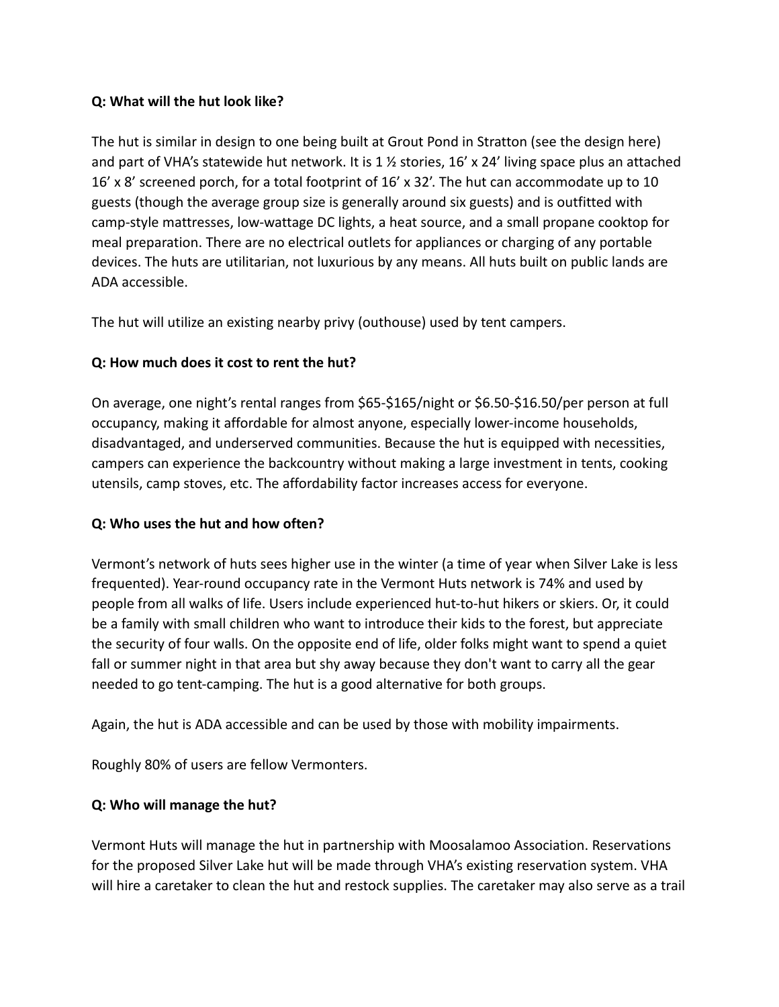### **Q: What will the hut look like?**

The hut is similar in design to one being built at Grout Pond in Stratton (see the design here) and part of VHA's statewide hut network. It is 1  $\frac{1}{2}$  stories, 16' x 24' living space plus an attached 16' x 8' screened porch, for a total footprint of 16' x 32'. The hut can accommodate up to 10 guests (though the average group size is generally around six guests) and is outfitted with camp-style mattresses, low-wattage DC lights, a heat source, and a small propane cooktop for meal preparation. There are no electrical outlets for appliances or charging of any portable devices. The huts are utilitarian, not luxurious by any means. All huts built on public lands are ADA accessible.

The hut will utilize an existing nearby privy (outhouse) used by tent campers.

# **Q: How much does it cost to rent the hut?**

On average, one night's rental ranges from \$65-\$165/night or \$6.50-\$16.50/per person at full occupancy, making it affordable for almost anyone, especially lower-income households, disadvantaged, and underserved communities. Because the hut is equipped with necessities, campers can experience the backcountry without making a large investment in tents, cooking utensils, camp stoves, etc. The affordability factor increases access for everyone.

### **Q: Who uses the hut and how often?**

Vermont's network of huts sees higher use in the winter (a time of year when Silver Lake is less frequented). Year-round occupancy rate in the Vermont Huts network is 74% and used by people from all walks of life. Users include experienced hut-to-hut hikers or skiers. Or, it could be a family with small children who want to introduce their kids to the forest, but appreciate the security of four walls. On the opposite end of life, older folks might want to spend a quiet fall or summer night in that area but shy away because they don't want to carry all the gear needed to go tent-camping. The hut is a good alternative for both groups.

Again, the hut is ADA accessible and can be used by those with mobility impairments.

Roughly 80% of users are fellow Vermonters.

### **Q: Who will manage the hut?**

Vermont Huts will manage the hut in partnership with Moosalamoo Association. Reservations for the proposed Silver Lake hut will be made through VHA's existing reservation system. VHA will hire a caretaker to clean the hut and restock supplies. The caretaker may also serve as a trail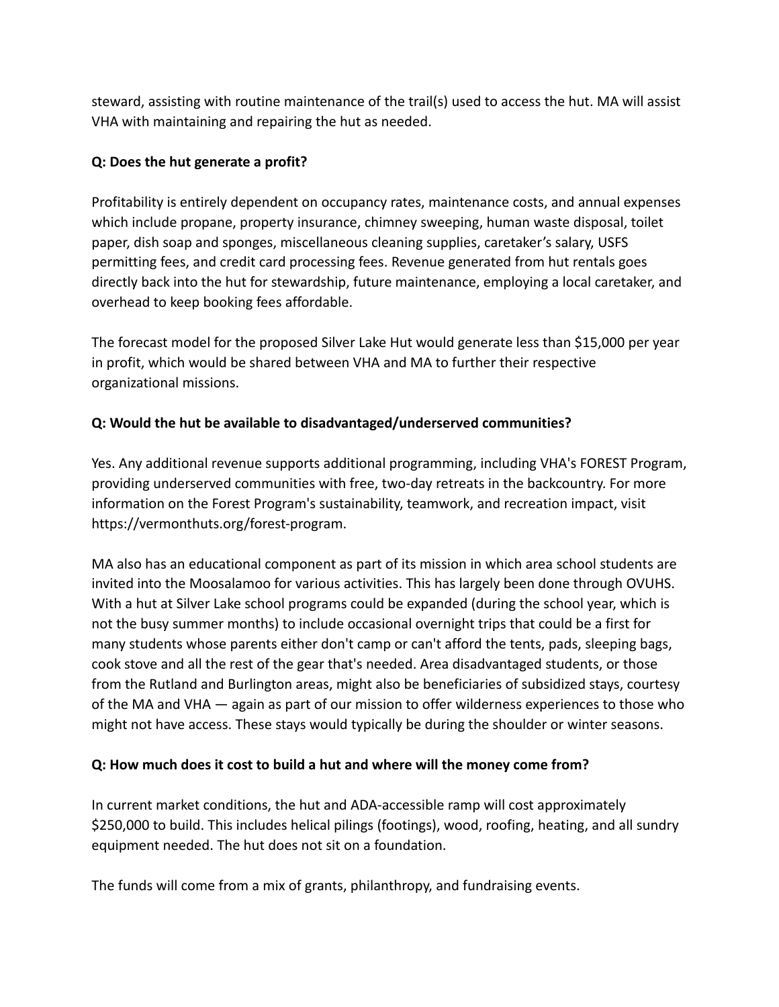steward, assisting with routine maintenance of the trail(s) used to access the hut. MA will assist VHA with maintaining and repairing the hut as needed.

## **Q: Does the hut generate a profit?**

Profitability is entirely dependent on occupancy rates, maintenance costs, and annual expenses which include propane, property insurance, chimney sweeping, human waste disposal, toilet paper, dish soap and sponges, miscellaneous cleaning supplies, caretaker's salary, USFS permitting fees, and credit card processing fees. Revenue generated from hut rentals goes directly back into the hut for stewardship, future maintenance, employing a local caretaker, and overhead to keep booking fees affordable.

The forecast model for the proposed Silver Lake Hut would generate less than \$15,000 per year in profit, which would be shared between VHA and MA to further their respective organizational missions.

# **Q: Would the hut be available to disadvantaged/underserved communities?**

Yes. Any additional revenue supports additional programming, including VHA's FOREST Program, providing underserved communities with free, two-day retreats in the backcountry. For more information on the Forest Program's sustainability, teamwork, and recreation impact, visit https://vermonthuts.org/forest-program.

MA also has an educational component as part of its mission in which area school students are invited into the Moosalamoo for various activities. This has largely been done through OVUHS. With a hut at Silver Lake school programs could be expanded (during the school year, which is not the busy summer months) to include occasional overnight trips that could be a first for many students whose parents either don't camp or can't afford the tents, pads, sleeping bags, cook stove and all the rest of the gear that's needed. Area disadvantaged students, or those from the Rutland and Burlington areas, might also be beneficiaries of subsidized stays, courtesy of the MA and VHA — again as part of our mission to offer wilderness experiences to those who might not have access. These stays would typically be during the shoulder or winter seasons.

### **Q: How much does it cost to build a hut and where will the money come from?**

In current market conditions, the hut and ADA-accessible ramp will cost approximately \$250,000 to build. This includes helical pilings (footings), wood, roofing, heating, and all sundry equipment needed. The hut does not sit on a foundation.

The funds will come from a mix of grants, philanthropy, and fundraising events.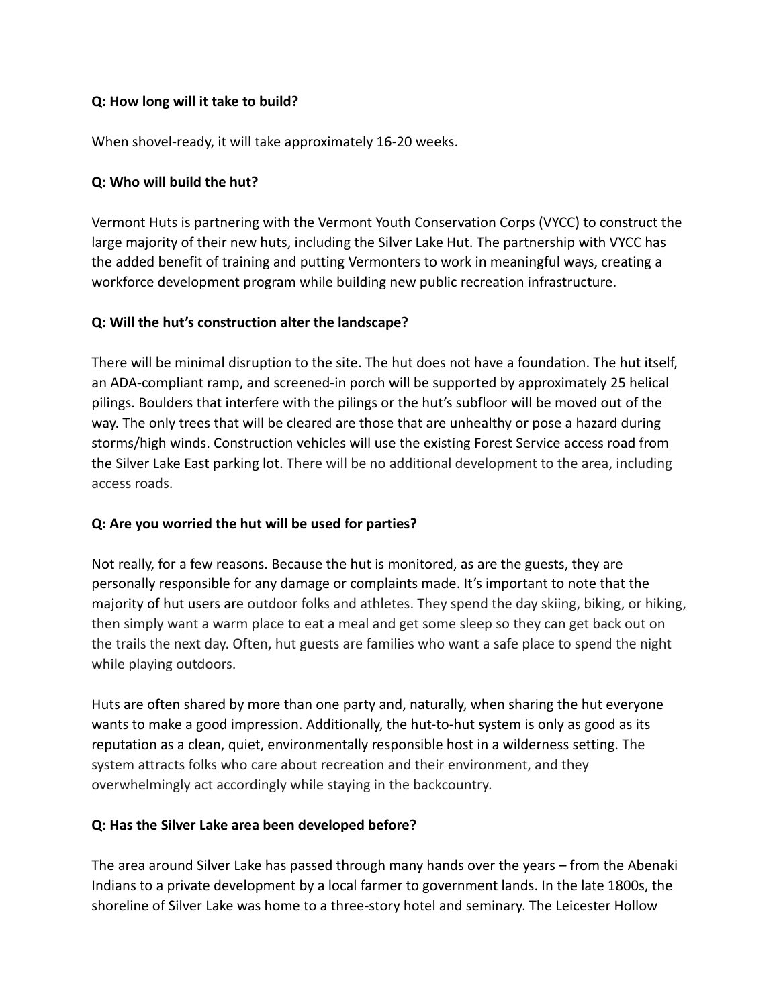#### **Q: How long will it take to build?**

When shovel-ready, it will take approximately 16-20 weeks.

#### **Q: Who will build the hut?**

Vermont Huts is partnering with the Vermont Youth Conservation Corps (VYCC) to construct the large majority of their new huts, including the Silver Lake Hut. The partnership with VYCC has the added benefit of training and putting Vermonters to work in meaningful ways, creating a workforce development program while building new public recreation infrastructure.

#### **Q: Will the hut's construction alter the landscape?**

There will be minimal disruption to the site. The hut does not have a foundation. The hut itself, an ADA-compliant ramp, and screened-in porch will be supported by approximately 25 helical pilings. Boulders that interfere with the pilings or the hut's subfloor will be moved out of the way. The only trees that will be cleared are those that are unhealthy or pose a hazard during storms/high winds. Construction vehicles will use the existing Forest Service access road from the Silver Lake East parking lot. There will be no additional development to the area, including access roads.

### **Q: Are you worried the hut will be used for parties?**

Not really, for a few reasons. Because the hut is monitored, as are the guests, they are personally responsible for any damage or complaints made. It's important to note that the majority of hut users are outdoor folks and athletes. They spend the day skiing, biking, or hiking, then simply want a warm place to eat a meal and get some sleep so they can get back out on the trails the next day. Often, hut guests are families who want a safe place to spend the night while playing outdoors.

Huts are often shared by more than one party and, naturally, when sharing the hut everyone wants to make a good impression. Additionally, the hut-to-hut system is only as good as its reputation as a clean, quiet, environmentally responsible host in a wilderness setting. The system attracts folks who care about recreation and their environment, and they overwhelmingly act accordingly while staying in the backcountry.

### **Q: Has the Silver Lake area been developed before?**

The area around Silver Lake has passed through many hands over the years – from the Abenaki Indians to a private development by a local farmer to government lands. In the late 1800s, the shoreline of Silver Lake was home to a three-story hotel and seminary. The Leicester Hollow